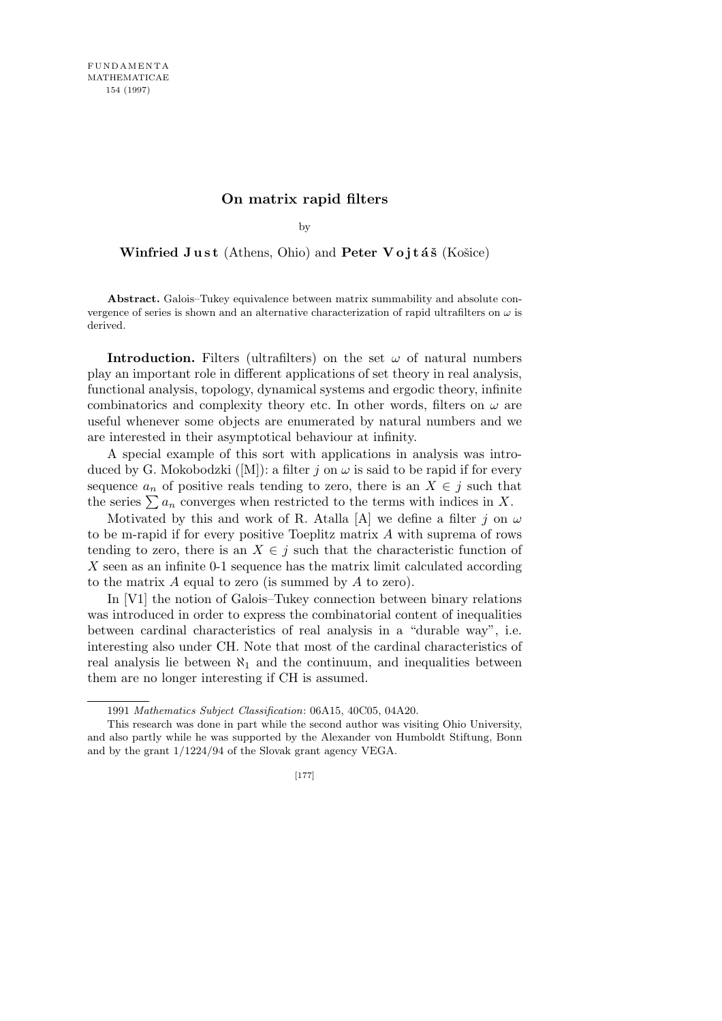## **On matrix rapid filters**

by

**Winfried Just** (Athens, Ohio) and **Peter Vojtáš** (Košice)

**Abstract.** Galois–Tukey equivalence between matrix summability and absolute convergence of series is shown and an alternative characterization of rapid ultrafilters on *ω* is derived.

**Introduction.** Filters (ultrafilters) on the set  $\omega$  of natural numbers play an important role in different applications of set theory in real analysis, functional analysis, topology, dynamical systems and ergodic theory, infinite combinatorics and complexity theory etc. In other words, filters on  $\omega$  are useful whenever some objects are enumerated by natural numbers and we are interested in their asymptotical behaviour at infinity.

A special example of this sort with applications in analysis was introduced by G. Mokobodzki ([M]): a filter  $j$  on  $\omega$  is said to be rapid if for every sequence  $a_n$  of positive reals tending to zero, there is an  $X \in j$  such that the series  $\sum a_n$  converges when restricted to the terms with indices in X.

Motivated by this and work of R. Atalla [A] we define a filter *j* on  $\omega$ to be m-rapid if for every positive Toeplitz matrix *A* with suprema of rows tending to zero, there is an  $X \in j$  such that the characteristic function of *X* seen as an infinite 0-1 sequence has the matrix limit calculated according to the matrix *A* equal to zero (is summed by *A* to zero).

In [V1] the notion of Galois–Tukey connection between binary relations was introduced in order to express the combinatorial content of inequalities between cardinal characteristics of real analysis in a "durable way", i.e. interesting also under CH. Note that most of the cardinal characteristics of real analysis lie between  $\aleph_1$  and the continuum, and inequalities between them are no longer interesting if CH is assumed.

<sup>1991</sup> *Mathematics Subject Classification*: 06A15, 40C05, 04A20.

This research was done in part while the second author was visiting Ohio University, and also partly while he was supported by the Alexander von Humboldt Stiftung, Bonn and by the grant 1/1224/94 of the Slovak grant agency VEGA.

<sup>[177]</sup>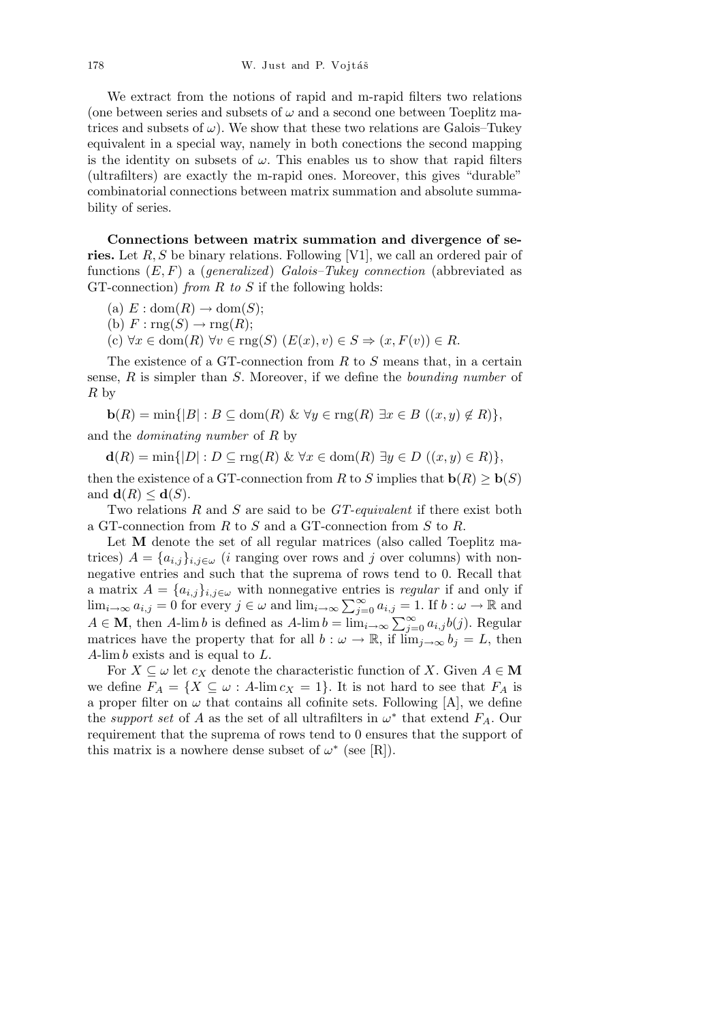We extract from the notions of rapid and m-rapid filters two relations (one between series and subsets of  $\omega$  and a second one between Toeplitz matrices and subsets of  $\omega$ ). We show that these two relations are Galois–Tukey equivalent in a special way, namely in both conections the second mapping is the identity on subsets of  $\omega$ . This enables us to show that rapid filters (ultrafilters) are exactly the m-rapid ones. Moreover, this gives "durable" combinatorial connections between matrix summation and absolute summability of series.

**Connections between matrix summation and divergence of series.** Let *R, S* be binary relations. Following [V1], we call an ordered pair of functions (*E, F*) a (*generalized*) *Galois–Tukey connection* (abbreviated as GT-connection) *from R to S* if the following holds:

- (a)  $E: dom(R) \rightarrow dom(S);$
- (b)  $F: \text{rng}(S) \rightarrow \text{rng}(R);$
- $(c)$   $\forall x \in \text{dom}(R)$   $\forall v \in \text{rng}(S)$   $(E(x), v) \in S \Rightarrow (x, F(v)) \in R$ .

The existence of a GT-connection from *R* to *S* means that, in a certain sense, *R* is simpler than *S*. Moreover, if we define the *bounding number* of *R* by

 $\mathbf{b}(R) = \min\{|B| : B \subseteq \text{dom}(R) \& \forall y \in \text{rng}(R) \exists x \in B \ ( (x, y) \notin R) \},$ and the *dominating number* of *R* by

 $d(R) = \min\{|D| : D \subseteq \text{rng}(R) \& \forall x \in \text{dom}(R) \exists y \in D \ ( (x, y) \in R) \},$ 

then the existence of a GT-connection from *R* to *S* implies that  $\mathbf{b}(R) \geq \mathbf{b}(S)$ and  $\mathbf{d}(R) \leq \mathbf{d}(S)$ .

Two relations *R* and *S* are said to be *GT-equivalent* if there exist both a GT-connection from *R* to *S* and a GT-connection from *S* to *R*.

Let **M** denote the set of all regular matrices (also called Toeplitz matrices)  $A = \{a_{i,j}\}_{i,j \in \omega}$  (*i* ranging over rows and *j* over columns) with nonnegative entries and such that the suprema of rows tend to 0. Recall that a matrix  $A = \{a_{i,j}\}_{i,j \in \omega}$  with nonnegative entries is *regular* if and only if a matrix  $A = \{a_{i,j}\}_{i,j \in \omega}$  with nonnegative entries is regular in and only if  $\lim_{i \to \infty} a_{i,j} = 0$  for every  $j \in \omega$  and  $\lim_{i \to \infty} \sum_{j=0}^{\infty} a_{i,j} = 1$ . If  $b : \omega \to \mathbb{R}$  and  $A \in \mathbf{M}$ , then A-lim b is defined as Amatrices have the property that for all  $b : \omega \to \mathbb{R}$ , if  $\lim_{j \to \infty} b_j = L$ , then *A*-lim *b* exists and is equal to *L*.

For  $X \subseteq \omega$  let  $c_X$  denote the characteristic function of X. Given  $A \in M$ we define  $F_A = \{ X \subseteq \omega : A\text{-lim } c_X = 1 \}.$  It is not hard to see that  $F_A$  is a proper filter on  $\omega$  that contains all cofinite sets. Following  $[A]$ , we define the *support set* of *A* as the set of all ultrafilters in  $\omega^*$  that extend  $F_A$ . Our requirement that the suprema of rows tend to 0 ensures that the support of this matrix is a nowhere dense subset of  $\omega^*$  (see [R]).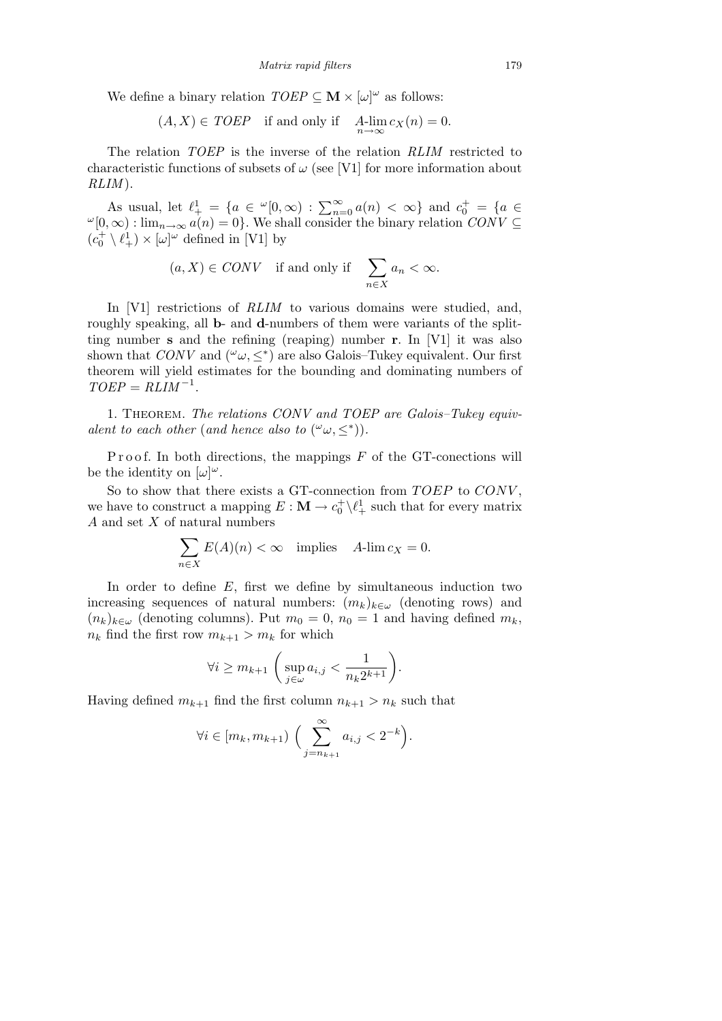We define a binary relation  $TOEP \subseteq \mathbf{M} \times [\omega]^\omega$  as follows:

$$
(A, X) \in TOEP
$$
 if and only if  $A\text{-lim}_{n \to \infty} c_X(n) = 0$ .

The relation *TOEP* is the inverse of the relation *RLIM* restricted to characteristic functions of subsets of  $\omega$  (see [V1] for more information about *RLIM* ).

As usual, let  $\ell^1_+ = \{a \in {}^{\omega}[0, \infty) : \sum_{n=0}^{\infty} a(n) < \infty\}$  and  $c_0^+ = \{a \in$  $\omega$ <sup>[</sup>0*,*  $\infty$ ) : lim<sub>*n*→∞</sub> *a*(*n*) = 0}. We shall consider the binary relation *CONV*  $\subseteq$  $(c_0^+ \setminus \ell_+^1) \times [\omega]^\omega$  defined in [V1] by

> $(a, X) \in CONV$  if and only if  $\sum$ *n∈X*  $a_n < \infty$ .

In [V1] restrictions of *RLIM* to various domains were studied, and, roughly speaking, all **b**- and **d**-numbers of them were variants of the splitting number **s** and the refining (reaping) number **r**. In [V1] it was also shown that *CONV* and  $({}^{\omega}\omega, \leq^*)$  are also Galois–Tukey equivalent. Our first theorem will yield estimates for the bounding and dominating numbers of  $TOEP = RLIM^{-1}$ .

1. Theorem. *The relations CONV and TOEP are Galois–Tukey equivalent to each other* (*and hence also to*  $({}^{\omega}\omega, \leq^*)$ ).

Proof. In both directions, the mappings *F* of the GT-conections will be the identity on  $[\omega]^\omega$ .

So to show that there exists a GT-connection from *TOEP* to *CONV*. we have to construct a mapping  $E : \mathbf{M} \to c_0^+ \setminus \ell_+^1$  such that for every matrix *A* and set *X* of natural numbers

$$
\sum_{n \in X} E(A)(n) < \infty \quad \text{implies} \quad A\text{-lim } c_X = 0.
$$

In order to define *E*, first we define by simultaneous induction two increasing sequences of natural numbers:  $(m_k)_{k \in \omega}$  (denoting rows) and  $(n_k)_{k \in \omega}$  (denoting columns). Put  $m_0 = 0$ ,  $n_0 = 1$  and having defined  $m_k$ ,  $n_k$  find the first row  $m_{k+1} > m_k$  for which

$$
\forall i \ge m_{k+1} \left( \sup_{j \in \omega} a_{i,j} < \frac{1}{n_k 2^{k+1}} \right).
$$

Having defined  $m_{k+1}$  find the first column  $n_{k+1} > n_k$  such that

$$
\forall i \in [m_k, m_{k+1}) \left( \sum_{j=n_{k+1}}^{\infty} a_{i,j} < 2^{-k} \right).
$$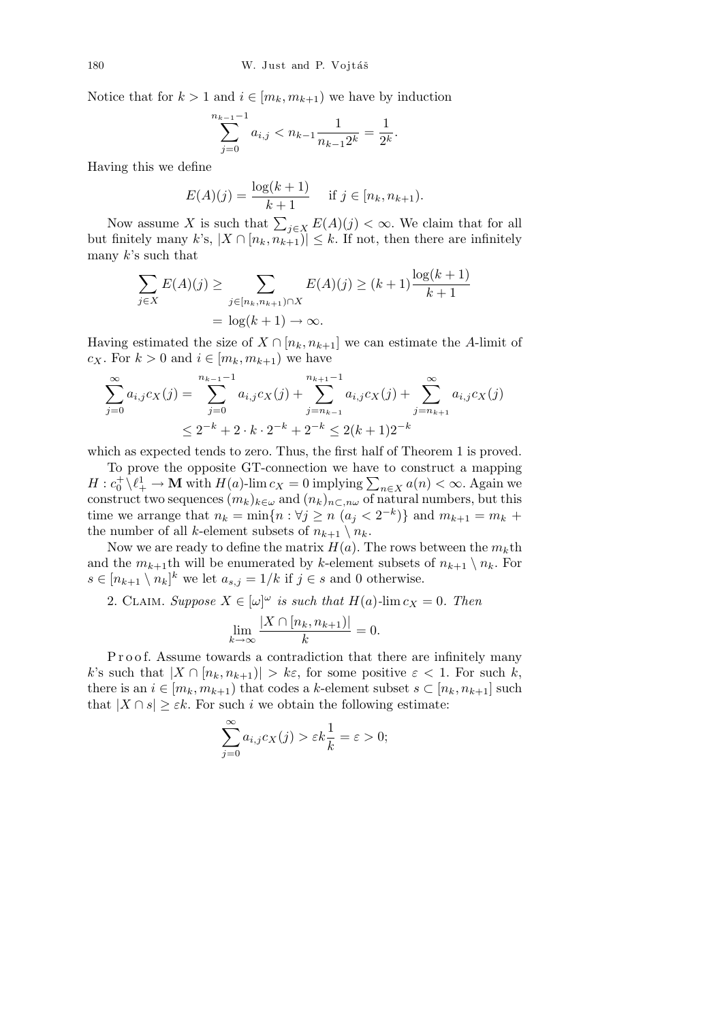Notice that for  $k > 1$  and  $i \in [m_k, m_{k+1})$  we have by induction

$$
\sum_{j=0}^{n_{k-1}-1} a_{i,j} < n_{k-1} \frac{1}{n_{k-1}2^k} = \frac{1}{2^k}.
$$

Having this we define

$$
E(A)(j) = \frac{\log(k+1)}{k+1} \quad \text{if } j \in [n_k, n_{k+1}).
$$

Now assume *X* is such that  $\sum_{j \in X} E(A)(j) < \infty$ . We claim that for all but finitely many  $k$ 's,  $|X \cap [n_k, n_{k+1})| \leq k$ . If not, then there are infinitely many *k*'s such that

$$
\sum_{j \in X} E(A)(j) \ge \sum_{j \in [n_k, n_{k+1}) \cap X} E(A)(j) \ge (k+1) \frac{\log(k+1)}{k+1} = \log(k+1) \to \infty.
$$

Having estimated the size of  $X \cap [n_k, n_{k+1}]$  we can estimate the *A*-limit of *c*<sub>*X*</sub>. For  $k > 0$  and  $i \in [m_k, m_{k+1})$  we have

$$
\sum_{j=0}^{\infty} a_{i,j} c_X(j) = \sum_{j=0}^{n_{k-1}-1} a_{i,j} c_X(j) + \sum_{j=n_{k-1}}^{n_{k+1}-1} a_{i,j} c_X(j) + \sum_{j=n_{k+1}}^{\infty} a_{i,j} c_X(j)
$$
  

$$
\leq 2^{-k} + 2 \cdot k \cdot 2^{-k} + 2^{-k} \leq 2(k+1)2^{-k}
$$

which as expected tends to zero. Thus, the first half of Theorem 1 is proved.

To prove the opposite GT-connection we have to construct a mapping *H* :  $c_0^+ \setminus l_+^1 \rightarrow M$  with *H*(*a*)-lim  $c_X = 0$  implying  $\sum_{n \in X} a(n) < \infty$ . Again we construct two sequences  $(m_k)_{k \in \omega}$  and  $(n_k)_{n \subset \dots \omega}$  of natural numbers, but this time we arrange that  $n_k = \min\{n : \forall j \geq n \ (a_j < 2^{-k})\}$  and  $m_{k+1} = m_k + \ell$ the number of all *k*-element subsets of  $n_{k+1} \setminus n_k$ .

Now we are ready to define the matrix  $H(a)$ . The rows between the  $m_k$ th and the  $m_{k+1}$ th will be enumerated by *k*-element subsets of  $n_{k+1} \setminus n_k$ . For  $s \in [n_{k+1} \setminus n_k]^k$  we let  $a_{s,j} = 1/k$  if  $j \in s$  and 0 otherwise.

2. CLAIM. *Suppose*  $X \in [\omega]^\omega$  *is such that*  $H(a)$ -lim  $c_X = 0$ . Then

$$
\lim_{k \to \infty} \frac{|X \cap [n_k, n_{k+1})|}{k} = 0.
$$

Proof. Assume towards a contradiction that there are infinitely many *k*'s such that  $|X \cap [n_k, n_{k+1})| > k\varepsilon$ , for some positive  $\varepsilon < 1$ . For such *k*, there is an  $i \in [m_k, m_{k+1})$  that codes a *k*-element subset  $s \subset [n_k, n_{k+1}]$  such that  $|X \cap s| \geq \varepsilon k$ . For such *i* we obtain the following estimate:

$$
\sum_{j=0}^{\infty} a_{i,j} c_X(j) > \varepsilon k \frac{1}{k} = \varepsilon > 0;
$$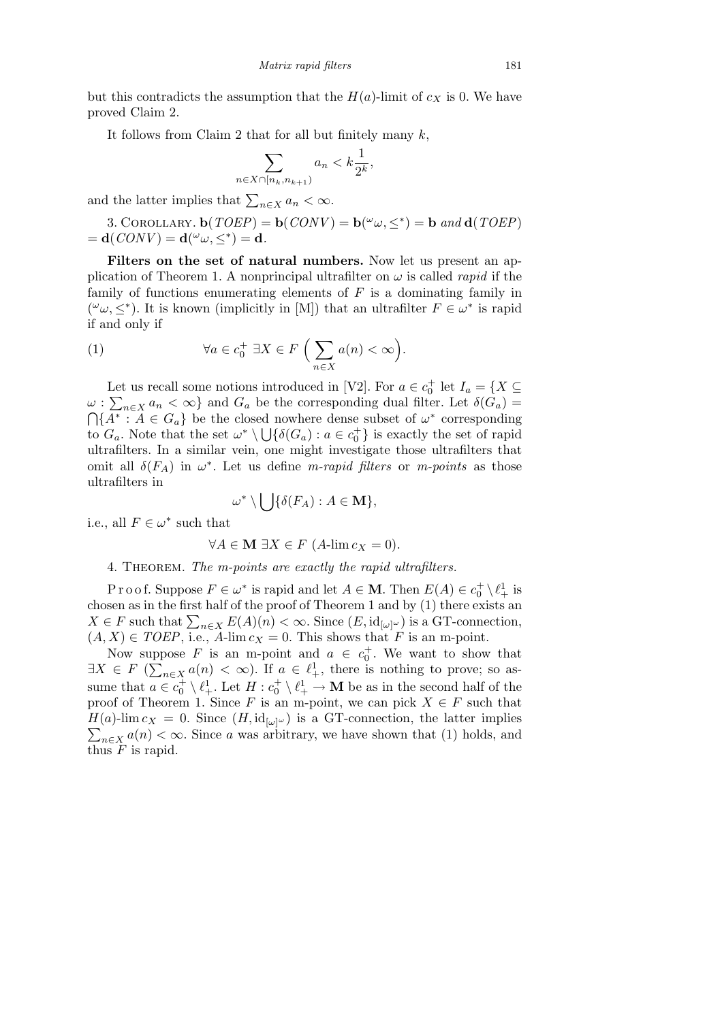but this contradicts the assumption that the  $H(a)$ -limit of  $c<sub>X</sub>$  is 0. We have proved Claim 2.

It follows from Claim 2 that for all but finitely many *k*,

$$
\sum_{n \in X \cap [n_k, n_{k+1})} a_n < k \frac{1}{2^k},
$$

and the latter implies that  $\sum_{n \in X} a_n < \infty$ .

3. COROLLARY.  $\mathbf{b}(TOEP) = \mathbf{b}(CONV) = \mathbf{b}(\omega_{\omega}, \leq^*) = \mathbf{b} \text{ and } \mathbf{d}(TOEP)$  $= \mathbf{d}(CONV) = \mathbf{d}(\omega, \leq^*) = \mathbf{d}.$ 

**Filters on the set of natural numbers.** Now let us present an application of Theorem 1. A nonprincipal ultrafilter on  $\omega$  is called *rapid* if the family of functions enumerating elements of *F* is a dominating family in ( $\omega$ ,  $\leq^*$ ). It is known (implicitly in [M]) that an ultrafilter  $F \in \omega^*$  is rapid if and only if

(1) 
$$
\forall a \in c_0^+ \; \exists X \in F \; \Big( \sum_{n \in X} a(n) < \infty \Big).
$$

Let us recall some notions introduced in [V2]. For  $a \in c_0^+$  let  $I_a = \{X \subseteq$  $\omega$ :  $\sum_{n \in X} a_n < \infty$  and  $G_a$  be the corresponding dual filter. Let  $\delta(G_a)$  =  ${A^* : A \in G_a}$  be the closed nowhere dense subset of  $\omega^*$  corresponding to  $G_a$ . Note that the set  $\omega^* \setminus \bigcup \{\delta(G_a) : a \in c_0^+\}$  is exactly the set of rapid ultrafilters. In a similar vein, one might investigate those ultrafilters that omit all  $\delta(F_A)$  in  $\omega^*$ . Let us define *m-rapid filters* or *m-points* as those ultrafilters in  $\mathbf{r}$ 

$$
\omega^* \setminus \bigcup \{ \delta(F_A) : A \in \mathbf{M} \},
$$

i.e., all  $F \in \omega^*$  such that

$$
\forall A \in \mathbf{M} \; \exists X \in F \; (A\text{-lim } c_X = 0).
$$

4. Theorem. *The m-points are exactly the rapid ultrafilters.*

Proof. Suppose  $F \in \omega^*$  is rapid and let  $A \in \mathbf{M}$ . Then  $E(A) \in c_0^+ \setminus \ell_+^1$  is chosen as in the first half of the proof of Theorem 1 and by (1) there exists an *X* ∈ *F* such that  $\sum_{n \in X} E(A)(n) < \infty$ . Since  $(E, id_{[\omega]}\omega)$  is a GT-connection,  $(A, X) \in TOEP$ , i.e.,  $A$ -lim  $c_X = 0$ . This shows that *F* is an m-point.

Now suppose *F* is an m-point and  $a \in c_0^+$ . We want to show that *∃X*  $\in$  *F* ( $\sum_{n\in X} a(n) < \infty$ ). If  $a \in \ell^1_+$ , there is nothing to prove; so assume that  $a \in c_0^+ \setminus \ell_+^1$ . Let  $H : c_0^+ \setminus \ell_+^1 \to \mathbf{M}$  be as in the second half of the proof of Theorem 1. Since *F* is an m-point, we can pick  $X \in F$  such that  $H(a)$ -lim  $c_X = 0$ . Since  $(H, id_{[\omega]^\omega})$  is a GT-connection, the latter implies  $\sum_{n \in X} a(n) < \infty$ . Since *a* was arbitrary, we have shown that (1) holds, and thus *F* is rapid.